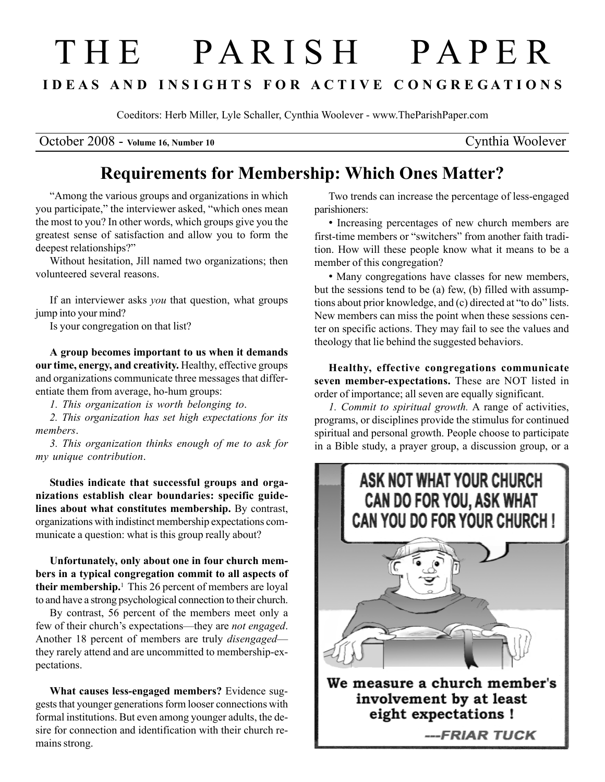## T H E P A R I S H P A P E R I D E A S A N D I N S I G H T S F O R A C T I V E C O N G R E G A T I O N S

Coeditors: Herb Miller, Lyle Schaller, Cynthia Woolever - www.TheParishPaper.com

October 2008 - Volume 16, Number 10 Cynthia Woolever

## Requirements for Membership: Which Ones Matter?

"Among the various groups and organizations in which you participate," the interviewer asked, "which ones mean the most to you? In other words, which groups give you the greatest sense of satisfaction and allow you to form the deepest relationships?"

Without hesitation, Jill named two organizations; then volunteered several reasons.

If an interviewer asks you that question, what groups jump into your mind?

Is your congregation on that list?

A group becomes important to us when it demands our time, energy, and creativity. Healthy, effective groups and organizations communicate three messages that differentiate them from average, ho-hum groups:

1. This organization is worth belonging to.

2. This organization has set high expectations for its members.

3. This organization thinks enough of me to ask for my unique contribution.

Studies indicate that successful groups and organizations establish clear boundaries: specific guidelines about what constitutes membership. By contrast, organizations with indistinct membership expectations communicate a question: what is this group really about?

Unfortunately, only about one in four church members in a typical congregation commit to all aspects of their membership.<sup>1</sup> This 26 percent of members are loyal to and have a strong psychological connection to their church.

By contrast, 56 percent of the members meet only a few of their church's expectations—they are not engaged. Another 18 percent of members are truly disengaged they rarely attend and are uncommitted to membership-expectations.

What causes less-engaged members? Evidence suggests that younger generations form looser connections with formal institutions. But even among younger adults, the desire for connection and identification with their church remains strong.

Two trends can increase the percentage of less-engaged parishioners:

• Increasing percentages of new church members are first-time members or "switchers" from another faith tradition. How will these people know what it means to be a member of this congregation?

• Many congregations have classes for new members, but the sessions tend to be (a) few, (b) filled with assumptions about prior knowledge, and (c) directed at "to do" lists. New members can miss the point when these sessions center on specific actions. They may fail to see the values and theology that lie behind the suggested behaviors.

Healthy, effective congregations communicate seven member-expectations. These are NOT listed in order of importance; all seven are equally significant.

1. Commit to spiritual growth. A range of activities, programs, or disciplines provide the stimulus for continued spiritual and personal growth. People choose to participate in a Bible study, a prayer group, a discussion group, or a